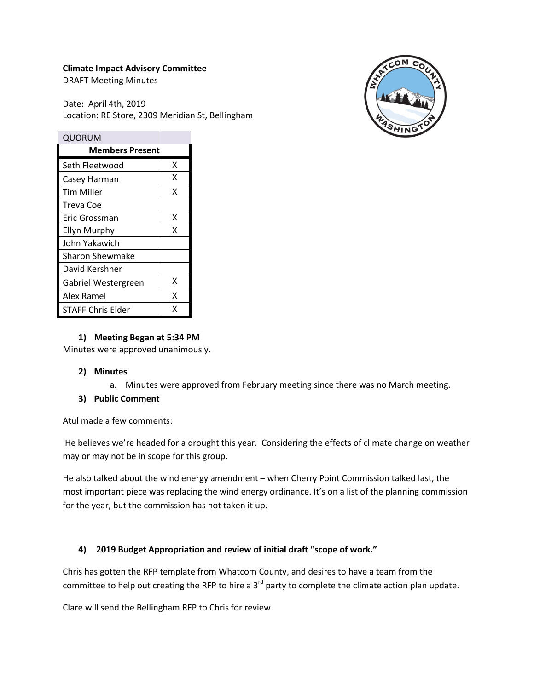#### **Climate Impact Advisory Committee**

DRAFT Meeting Minutes

Date: April 4th, 2019 Location: RE Store, 2309 Meridian St, Bellingham



| QUORUM                   |   |  |
|--------------------------|---|--|
| <b>Members Present</b>   |   |  |
| Seth Fleetwood           | x |  |
| Casey Harman             | x |  |
| Tim Miller               | x |  |
| Treva Coe                |   |  |
| Eric Grossman            | x |  |
| <b>Ellyn Murphy</b>      | x |  |
| John Yakawich            |   |  |
| <b>Sharon Shewmake</b>   |   |  |
| David Kershner           |   |  |
| Gabriel Westergreen      | x |  |
| Alex Ramel               | x |  |
| <b>STAFF Chris Elder</b> | x |  |

#### **1) Meeting Began at 5:34 PM**

Minutes were approved unanimously.

#### **2) Minutes**

a. Minutes were approved from February meeting since there was no March meeting.

#### **3) Public Comment**

Atul made a few comments:

He believes we're headed for a drought this year. Considering the effects of climate change on weather may or may not be in scope for this group.

He also talked about the wind energy amendment – when Cherry Point Commission talked last, the most important piece was replacing the wind energy ordinance. It's on a list of the planning commission for the year, but the commission has not taken it up.

# **4) 2019 Budget Appropriation and review of initial draft "scope of work."**

Chris has gotten the RFP template from Whatcom County, and desires to have a team from the committee to help out creating the RFP to hire a  $3<sup>rd</sup>$  party to complete the climate action plan update.

Clare will send the Bellingham RFP to Chris for review.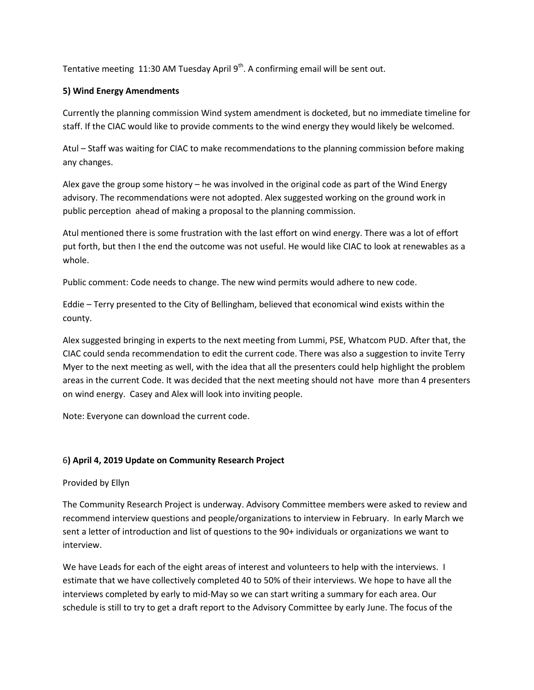Tentative meeting 11:30 AM Tuesday April  $9<sup>th</sup>$ . A confirming email will be sent out.

### **5) Wind Energy Amendments**

Currently the planning commission Wind system amendment is docketed, but no immediate timeline for staff. If the CIAC would like to provide comments to the wind energy they would likely be welcomed.

Atul – Staff was waiting for CIAC to make recommendations to the planning commission before making any changes.

Alex gave the group some history – he was involved in the original code as part of the Wind Energy advisory. The recommendations were not adopted. Alex suggested working on the ground work in public perception ahead of making a proposal to the planning commission.

Atul mentioned there is some frustration with the last effort on wind energy. There was a lot of effort put forth, but then I the end the outcome was not useful. He would like CIAC to look at renewables as a whole.

Public comment: Code needs to change. The new wind permits would adhere to new code.

Eddie – Terry presented to the City of Bellingham, believed that economical wind exists within the county.

Alex suggested bringing in experts to the next meeting from Lummi, PSE, Whatcom PUD. After that, the CIAC could senda recommendation to edit the current code. There was also a suggestion to invite Terry Myer to the next meeting as well, with the idea that all the presenters could help highlight the problem areas in the current Code. It was decided that the next meeting should not have more than 4 presenters on wind energy. Casey and Alex will look into inviting people.

Note: Everyone can download the current code.

# 6**) April 4, 2019 Update on Community Research Project**

Provided by Ellyn

The Community Research Project is underway. Advisory Committee members were asked to review and recommend interview questions and people/organizations to interview in February. In early March we sent a letter of introduction and list of questions to the 90+ individuals or organizations we want to interview.

We have Leads for each of the eight areas of interest and volunteers to help with the interviews. I estimate that we have collectively completed 40 to 50% of their interviews. We hope to have all the interviews completed by early to mid-May so we can start writing a summary for each area. Our schedule is still to try to get a draft report to the Advisory Committee by early June. The focus of the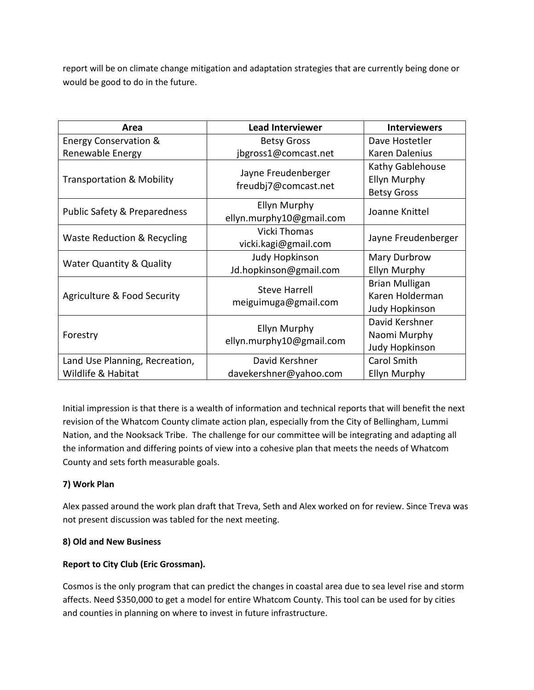report will be on climate change mitigation and adaptation strategies that are currently being done or would be good to do in the future.

| Area                                   | <b>Lead Interviewer</b>                         | <b>Interviewers</b>                                        |
|----------------------------------------|-------------------------------------------------|------------------------------------------------------------|
| <b>Energy Conservation &amp;</b>       | <b>Betsy Gross</b>                              | Dave Hostetler                                             |
| Renewable Energy                       | jbgross1@comcast.net                            | Karen Dalenius                                             |
| <b>Transportation &amp; Mobility</b>   | Jayne Freudenberger<br>freudbj7@comcast.net     | Kathy Gablehouse<br>Ellyn Murphy<br><b>Betsy Gross</b>     |
| Public Safety & Preparedness           | <b>Ellyn Murphy</b><br>ellyn.murphy10@gmail.com | Joanne Knittel                                             |
| <b>Waste Reduction &amp; Recycling</b> | <b>Vicki Thomas</b><br>vicki.kagi@gmail.com     | Jayne Freudenberger                                        |
| <b>Water Quantity &amp; Quality</b>    | <b>Judy Hopkinson</b><br>Jd.hopkinson@gmail.com | Mary Durbrow<br>Ellyn Murphy                               |
| Agriculture & Food Security            | <b>Steve Harrell</b><br>meiguimuga@gmail.com    | Brian Mulligan<br>Karen Holderman<br><b>Judy Hopkinson</b> |
| Forestry                               | <b>Ellyn Murphy</b><br>ellyn.murphy10@gmail.com | David Kershner<br>Naomi Murphy<br>Judy Hopkinson           |
| Land Use Planning, Recreation,         | David Kershner                                  | Carol Smith                                                |
| Wildlife & Habitat                     | davekershner@yahoo.com                          | <b>Ellyn Murphy</b>                                        |

Initial impression is that there is a wealth of information and technical reports that will benefit the next revision of the Whatcom County climate action plan, especially from the City of Bellingham, Lummi Nation, and the Nooksack Tribe. The challenge for our committee will be integrating and adapting all the information and differing points of view into a cohesive plan that meets the needs of Whatcom County and sets forth measurable goals.

# **7) Work Plan**

Alex passed around the work plan draft that Treva, Seth and Alex worked on for review. Since Treva was not present discussion was tabled for the next meeting.

# **8) Old and New Business**

# **Report to City Club (Eric Grossman).**

Cosmos is the only program that can predict the changes in coastal area due to sea level rise and storm affects. Need \$350,000 to get a model for entire Whatcom County. This tool can be used for by cities and counties in planning on where to invest in future infrastructure.